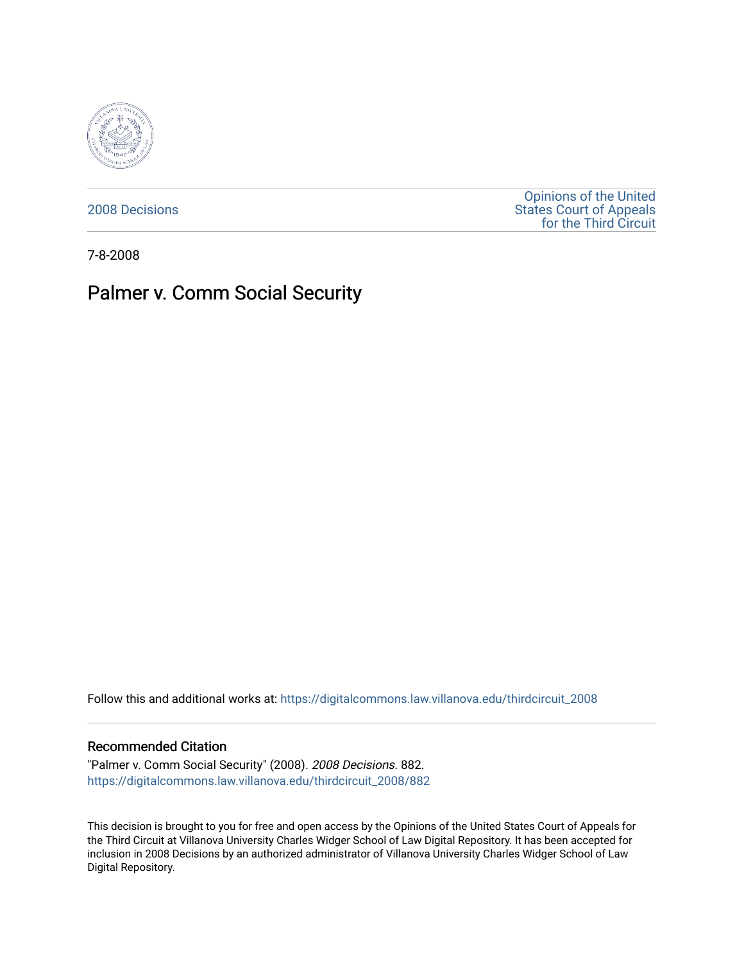

[2008 Decisions](https://digitalcommons.law.villanova.edu/thirdcircuit_2008)

[Opinions of the United](https://digitalcommons.law.villanova.edu/thirdcircuit)  [States Court of Appeals](https://digitalcommons.law.villanova.edu/thirdcircuit)  [for the Third Circuit](https://digitalcommons.law.villanova.edu/thirdcircuit) 

7-8-2008

# Palmer v. Comm Social Security

Follow this and additional works at: [https://digitalcommons.law.villanova.edu/thirdcircuit\\_2008](https://digitalcommons.law.villanova.edu/thirdcircuit_2008?utm_source=digitalcommons.law.villanova.edu%2Fthirdcircuit_2008%2F882&utm_medium=PDF&utm_campaign=PDFCoverPages) 

### Recommended Citation

"Palmer v. Comm Social Security" (2008). 2008 Decisions. 882. [https://digitalcommons.law.villanova.edu/thirdcircuit\\_2008/882](https://digitalcommons.law.villanova.edu/thirdcircuit_2008/882?utm_source=digitalcommons.law.villanova.edu%2Fthirdcircuit_2008%2F882&utm_medium=PDF&utm_campaign=PDFCoverPages)

This decision is brought to you for free and open access by the Opinions of the United States Court of Appeals for the Third Circuit at Villanova University Charles Widger School of Law Digital Repository. It has been accepted for inclusion in 2008 Decisions by an authorized administrator of Villanova University Charles Widger School of Law Digital Repository.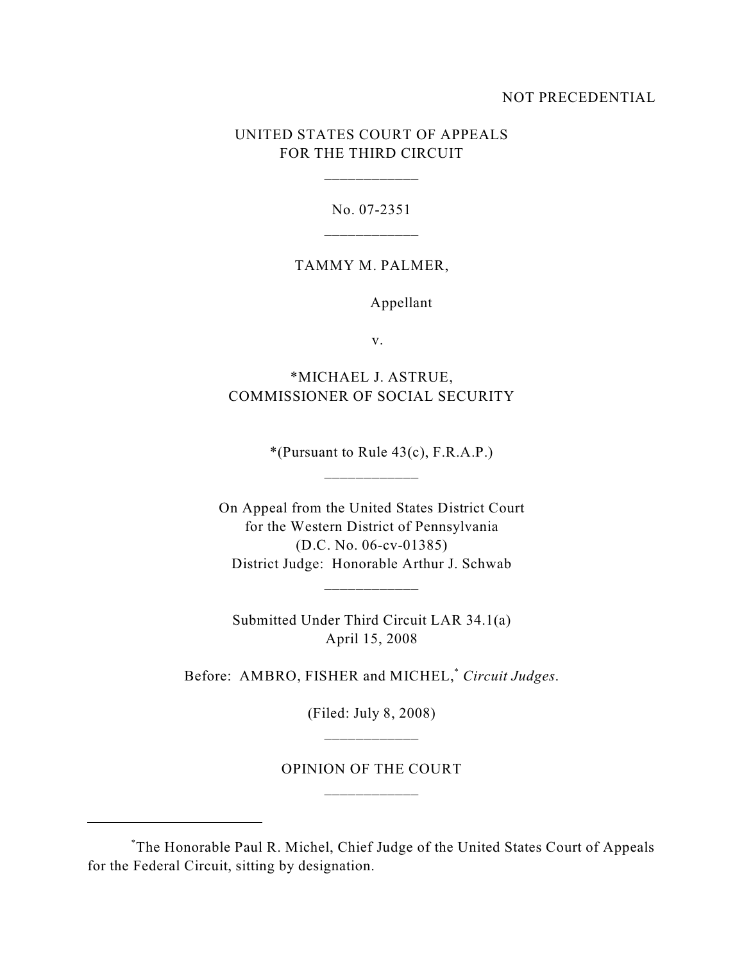### NOT PRECEDENTIAL

### UNITED STATES COURT OF APPEALS FOR THE THIRD CIRCUIT

\_\_\_\_\_\_\_\_\_\_\_\_

No. 07-2351

### TAMMY M. PALMER,

Appellant

v.

## \*MICHAEL J. ASTRUE, COMMISSIONER OF SOCIAL SECURITY

 $*(Pursuant to Rule 43(c), F.R.A.P.)$ 

On Appeal from the United States District Court for the Western District of Pennsylvania (D.C. No. 06-cv-01385) District Judge: Honorable Arthur J. Schwab

\_\_\_\_\_\_\_\_\_\_\_\_

\_\_\_\_\_\_\_\_\_\_\_\_

Submitted Under Third Circuit LAR 34.1(a) April 15, 2008

Before: AMBRO, FISHER and MICHEL,<sup>\*</sup> Circuit Judges.

(Filed: July 8, 2008)

# OPINION OF THE COURT \_\_\_\_\_\_\_\_\_\_\_\_

The Honorable Paul R. Michel, Chief Judge of the United States Court of Appeals \* for the Federal Circuit, sitting by designation.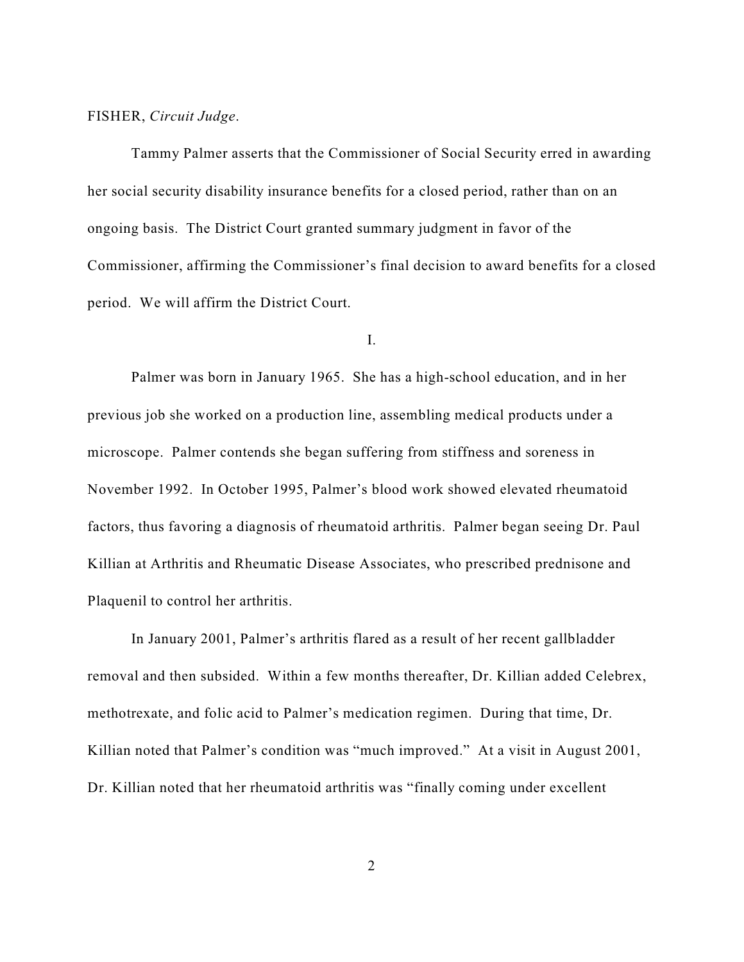### FISHER, *Circuit Judge*.

Tammy Palmer asserts that the Commissioner of Social Security erred in awarding her social security disability insurance benefits for a closed period, rather than on an ongoing basis. The District Court granted summary judgment in favor of the Commissioner, affirming the Commissioner's final decision to award benefits for a closed period. We will affirm the District Court.

### I.

Palmer was born in January 1965. She has a high-school education, and in her previous job she worked on a production line, assembling medical products under a microscope. Palmer contends she began suffering from stiffness and soreness in November 1992. In October 1995, Palmer's blood work showed elevated rheumatoid factors, thus favoring a diagnosis of rheumatoid arthritis. Palmer began seeing Dr. Paul Killian at Arthritis and Rheumatic Disease Associates, who prescribed prednisone and Plaquenil to control her arthritis.

In January 2001, Palmer's arthritis flared as a result of her recent gallbladder removal and then subsided. Within a few months thereafter, Dr. Killian added Celebrex, methotrexate, and folic acid to Palmer's medication regimen. During that time, Dr. Killian noted that Palmer's condition was "much improved." At a visit in August 2001, Dr. Killian noted that her rheumatoid arthritis was "finally coming under excellent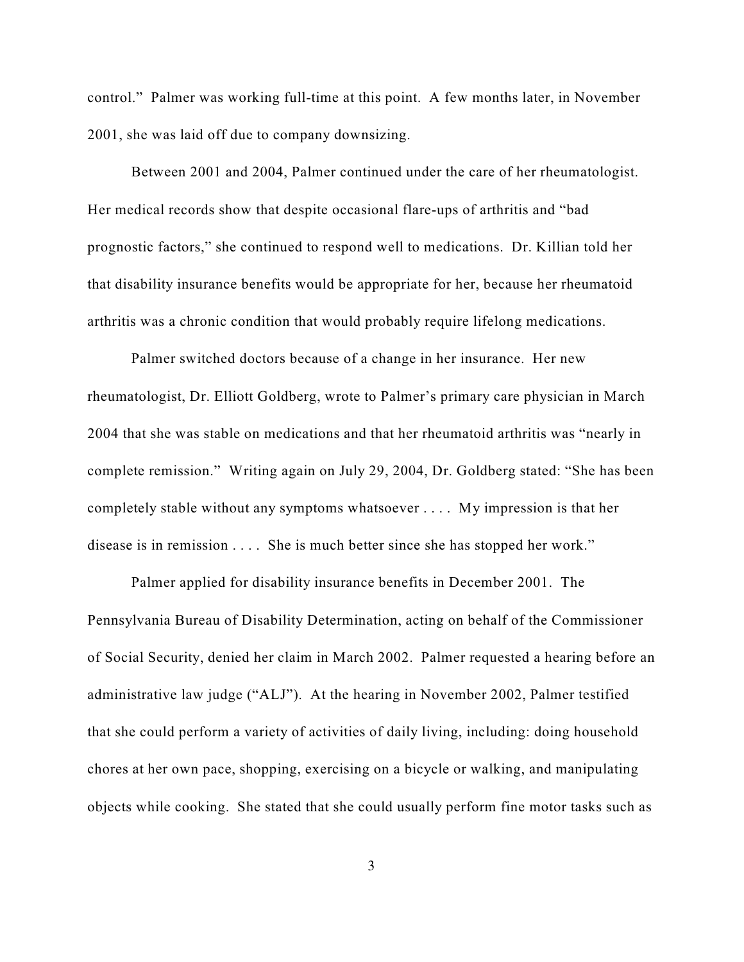control." Palmer was working full-time at this point. A few months later, in November 2001, she was laid off due to company downsizing.

Between 2001 and 2004, Palmer continued under the care of her rheumatologist. Her medical records show that despite occasional flare-ups of arthritis and "bad prognostic factors," she continued to respond well to medications. Dr. Killian told her that disability insurance benefits would be appropriate for her, because her rheumatoid arthritis was a chronic condition that would probably require lifelong medications.

Palmer switched doctors because of a change in her insurance. Her new rheumatologist, Dr. Elliott Goldberg, wrote to Palmer's primary care physician in March 2004 that she was stable on medications and that her rheumatoid arthritis was "nearly in complete remission." Writing again on July 29, 2004, Dr. Goldberg stated: "She has been completely stable without any symptoms whatsoever . . . . My impression is that her disease is in remission . . . . She is much better since she has stopped her work."

Palmer applied for disability insurance benefits in December 2001. The Pennsylvania Bureau of Disability Determination, acting on behalf of the Commissioner of Social Security, denied her claim in March 2002. Palmer requested a hearing before an administrative law judge ("ALJ"). At the hearing in November 2002, Palmer testified that she could perform a variety of activities of daily living, including: doing household chores at her own pace, shopping, exercising on a bicycle or walking, and manipulating objects while cooking. She stated that she could usually perform fine motor tasks such as

3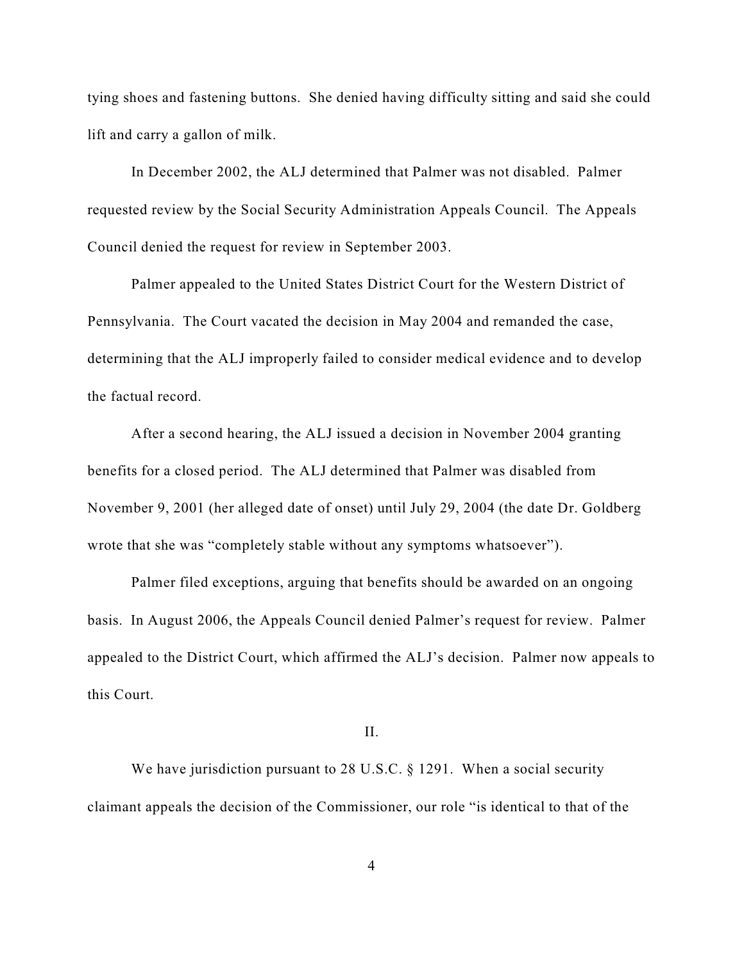tying shoes and fastening buttons. She denied having difficulty sitting and said she could lift and carry a gallon of milk.

In December 2002, the ALJ determined that Palmer was not disabled. Palmer requested review by the Social Security Administration Appeals Council. The Appeals Council denied the request for review in September 2003.

Palmer appealed to the United States District Court for the Western District of Pennsylvania. The Court vacated the decision in May 2004 and remanded the case, determining that the ALJ improperly failed to consider medical evidence and to develop the factual record.

After a second hearing, the ALJ issued a decision in November 2004 granting benefits for a closed period. The ALJ determined that Palmer was disabled from November 9, 2001 (her alleged date of onset) until July 29, 2004 (the date Dr. Goldberg wrote that she was "completely stable without any symptoms whatsoever").

Palmer filed exceptions, arguing that benefits should be awarded on an ongoing basis. In August 2006, the Appeals Council denied Palmer's request for review. Palmer appealed to the District Court, which affirmed the ALJ's decision. Palmer now appeals to this Court.

### II.

We have jurisdiction pursuant to 28 U.S.C. § 1291. When a social security claimant appeals the decision of the Commissioner, our role "is identical to that of the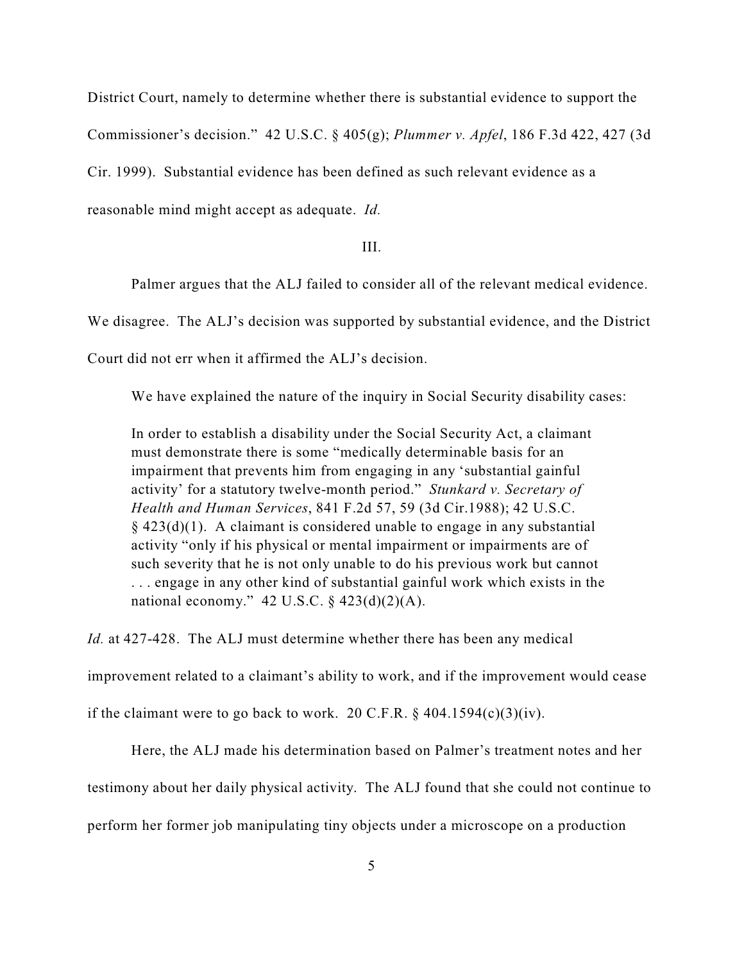District Court, namely to determine whether there is substantial evidence to support the

Commissioner's decision." 42 U.S.C. § 405(g); *Plummer v. Apfel*, 186 F.3d 422, 427 (3d

Cir. 1999). Substantial evidence has been defined as such relevant evidence as a

reasonable mind might accept as adequate. *Id.*

III.

Palmer argues that the ALJ failed to consider all of the relevant medical evidence.

We disagree. The ALJ's decision was supported by substantial evidence, and the District

Court did not err when it affirmed the ALJ's decision.

We have explained the nature of the inquiry in Social Security disability cases:

In order to establish a disability under the Social Security Act, a claimant must demonstrate there is some "medically determinable basis for an impairment that prevents him from engaging in any 'substantial gainful activity' for a statutory twelve-month period." *Stunkard v. Secretary of Health and Human Services*, 841 F.2d 57, 59 (3d Cir.1988); 42 U.S.C.  $§$  423(d)(1). A claimant is considered unable to engage in any substantial activity "only if his physical or mental impairment or impairments are of such severity that he is not only unable to do his previous work but cannot . . . engage in any other kind of substantial gainful work which exists in the national economy."  $42 \text{ U.S.C.} \$  $423(d)(2)(A)$ .

*Id.* at 427-428. The ALJ must determine whether there has been any medical

improvement related to a claimant's ability to work, and if the improvement would cease

if the claimant were to go back to work. 20 C.F.R.  $\S$  404.1594(c)(3)(iv).

Here, the ALJ made his determination based on Palmer's treatment notes and her testimony about her daily physical activity. The ALJ found that she could not continue to perform her former job manipulating tiny objects under a microscope on a production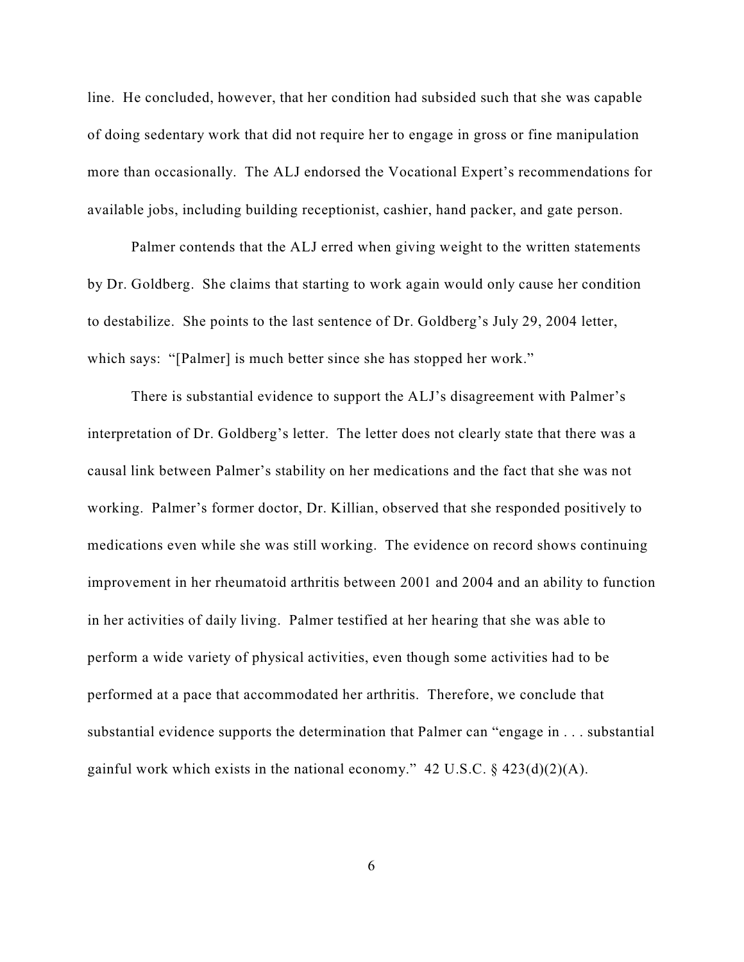line. He concluded, however, that her condition had subsided such that she was capable of doing sedentary work that did not require her to engage in gross or fine manipulation more than occasionally. The ALJ endorsed the Vocational Expert's recommendations for available jobs, including building receptionist, cashier, hand packer, and gate person.

Palmer contends that the ALJ erred when giving weight to the written statements by Dr. Goldberg. She claims that starting to work again would only cause her condition to destabilize. She points to the last sentence of Dr. Goldberg's July 29, 2004 letter, which says: "[Palmer] is much better since she has stopped her work."

There is substantial evidence to support the ALJ's disagreement with Palmer's interpretation of Dr. Goldberg's letter. The letter does not clearly state that there was a causal link between Palmer's stability on her medications and the fact that she was not working. Palmer's former doctor, Dr. Killian, observed that she responded positively to medications even while she was still working. The evidence on record shows continuing improvement in her rheumatoid arthritis between 2001 and 2004 and an ability to function in her activities of daily living. Palmer testified at her hearing that she was able to perform a wide variety of physical activities, even though some activities had to be performed at a pace that accommodated her arthritis. Therefore, we conclude that substantial evidence supports the determination that Palmer can "engage in . . . substantial gainful work which exists in the national economy."  $42 \text{ U.S.C.}$  §  $423(d)(2)(\text{A})$ .

6